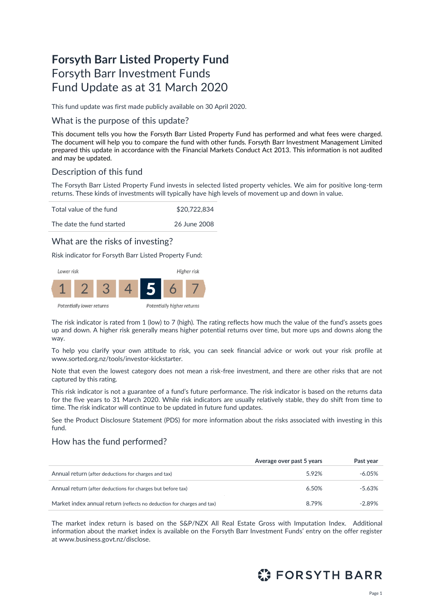# **Forsyth Barr Listed Property Fund** Forsyth Barr Investment Funds Fund Update as at 31 March 2020

This fund update was first made publicly available on 30 April 2020.

### What is the purpose of this update?

This document tells you how the Forsyth Barr Listed Property Fund has performed and what fees were charged. The document will help you to compare the fund with other funds. Forsyth Barr Investment Management Limited prepared this update in accordance with the Financial Markets Conduct Act 2013. This information is not audited and may be updated.

## Description of this fund

The Forsyth Barr Listed Property Fund invests in selected listed property vehicles. We aim for positive long-term returns. These kinds of investments will typically have high levels of movement up and down in value.

Total value of the fund \$20,722,834

The date the fund started 26 June 2008

## What are the risks of investing?

Risk indicator for Forsyth Barr Listed Property Fund:



The risk indicator is rated from 1 (low) to 7 (high). The rating reflects how much the value of the fund's assets goes up and down. A higher risk generally means higher potential returns over time, but more ups and downs along the way.

To help you clarify your own attitude to risk, you can seek financial advice or work out your risk profile at [www.sorted.org.nz/tools/investor-kickstarter.](http://www.sorted.org.nz/tools/investor-kickstarter) 

Note that even the lowest category does not mean a risk-free investment, and there are other risks that are not captured by this rating.

This risk indicator is not a guarantee of a fund's future performance. The risk indicator is based on the returns data for the five years to 31 March 2020. While risk indicators are usually relatively stable, they do shift from time to time. The risk indicator will continue to be updated in future fund updates.

See the Product Disclosure Statement (PDS) for more information about the risks associated with investing in this fund.

## How has the fund performed?

|                                                                        | Average over past 5 years | Past year |
|------------------------------------------------------------------------|---------------------------|-----------|
| Annual return (after deductions for charges and tax)                   | 5.92%                     | $-6.05\%$ |
| Annual return (after deductions for charges but before tax)            | 6.50%                     | -5.63%    |
| Market index annual return (reflects no deduction for charges and tax) | 8.79%                     | $-2.89%$  |

The market index return is based on the S&P/NZX All Real Estate Gross with Imputation Index. Additional information about the market index is available on the Forsyth Barr Investment Funds' entry on the offer register at [www.business.govt.nz/disclose.](http://www.business.govt.nz/disclose)

# $\mathbb{C}$ : FORSYTH BARR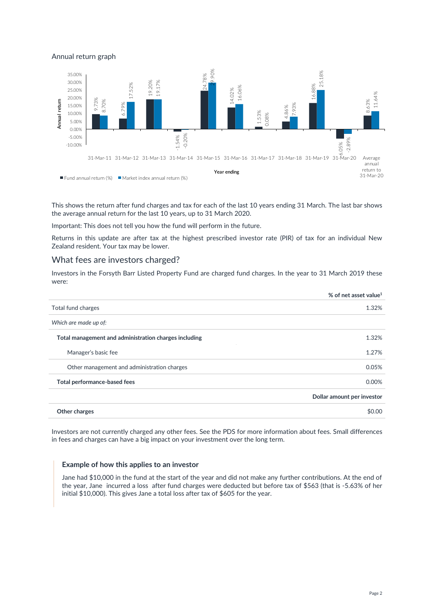#### Annual return graph



This shows the return after fund charges and tax for each of the last 10 years ending 31 March. The last bar shows the average annual return for the last 10 years, up to 31 March 2020.

Important: This does not tell you how the fund will perform in the future.

Returns in this update are after tax at the highest prescribed investor rate (PIR) of tax for an individual New Zealand resident. Your tax may be lower.

### What fees are investors charged?

Investors in the Forsyth Barr Listed Property Fund are charged fund charges. In the year to 31 March 2019 these were:

|                                                       | % of net asset value <sup>1</sup> |
|-------------------------------------------------------|-----------------------------------|
| Total fund charges                                    | 1.32%                             |
| Which are made up of:                                 |                                   |
| Total management and administration charges including | 1.32%                             |
| Manager's basic fee                                   | 1.27%                             |
| Other management and administration charges           | 0.05%                             |
| Total performance-based fees                          | 0.00%                             |
|                                                       | Dollar amount per investor        |
| Other charges                                         | \$0.00                            |
|                                                       |                                   |

Investors are not currently charged any other fees. See the PDS for more information about fees. Small differences in fees and charges can have a big impact on your investment over the long term.

#### **Example of how this applies to an investor**

Jane had \$10,000 in the fund at the start of the year and did not make any further contributions. At the end of the year, Jane incurred a loss after fund charges were deducted but before tax of \$563 (that is -5.63% of her initial \$10,000). This gives Jane a total loss after tax of \$605 for the year.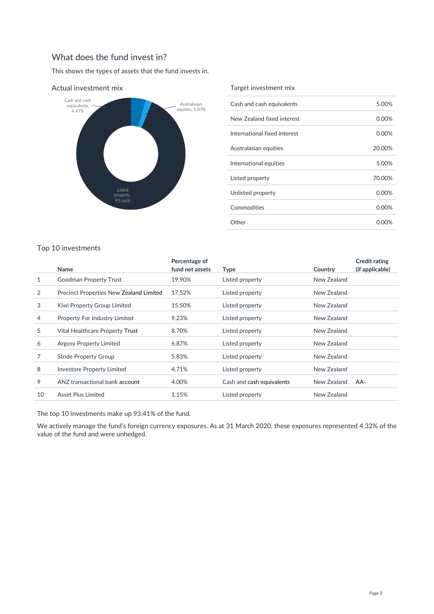# What does the fund invest in?

This shows the types of assets that the fund invests in.



Actual investment mix

#### Target investment mix

| Cash and cash equivalents    | 5.00%  |
|------------------------------|--------|
| New Zealand fixed interest   | 0.00%  |
| International fixed interest | 0.00%  |
| Australasian equities        | 20.00% |
| International equities       | 5.00%  |
| Listed property              | 70.00% |
| Unlisted property            | 0.00%  |
| Commodities                  | 0.00%  |
| Other                        | 0.00%  |

## Top 10 investments

|    |                                                | Percentage of   |                           |             | <b>Credit rating</b> |
|----|------------------------------------------------|-----------------|---------------------------|-------------|----------------------|
|    | Name                                           | fund net assets | <b>Type</b>               | Country     | (if applicable)      |
| 1  | Goodman Property Trust                         | 19.90%          | Listed property           | New Zealand |                      |
| 2  | <b>Precinct Properties New Zealand Limited</b> | 17.52%          | Listed property           | New Zealand |                      |
| 3  | Kiwi Property Group Limited                    | 15.50%          | Listed property           | New Zealand |                      |
| 4  | Property For Industry Limited                  | 9.23%           | Listed property           | New Zealand |                      |
| 5  | Vital Healthcare Property Trust                | 8.70%           | Listed property           | New Zealand |                      |
| 6  | Argosy Property Limited                        | 6.87%           | Listed property           | New Zealand |                      |
|    | <b>Stride Property Group</b>                   | 5.83%           | Listed property           | New Zealand |                      |
| 8  | <b>Investore Property Limited</b>              | 4.71%           | Listed property           | New Zealand |                      |
| 9  | ANZ transactional bank account                 | 4.00%           | Cash and cash equivalents | New Zealand | AA-                  |
| 10 | Asset Plus Limited                             | 1.15%           | Listed property           | New Zealand |                      |

The top 10 investments make up 93.41% of the fund.

We actively manage the fund's foreign currency exposures. As at 31 March 2020, these exposures represented 4.32% of the value of the fund and were unhedged.